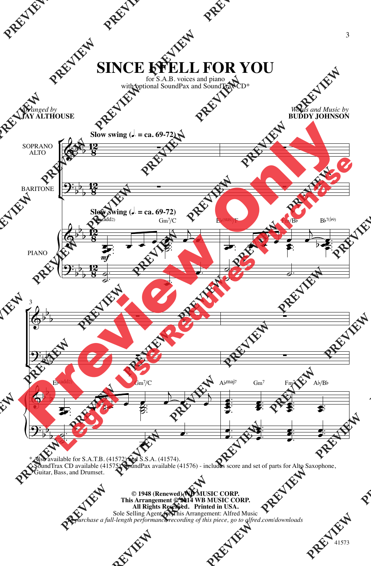## **SINCE I FELL FOR YOU**

for S.A.B. voices and piano with optional SoundPax and SoundTrax CD\*



\* Also available for S.A.T.B. (41572) and S.S.A. (41574). SoundTrax CD available (41575). SoundPax available (41576) - includes score and set of parts for Alto Saxophone, Guitar, Bass, and Drumset.

> **© 1948 (Renewed) WB MUSIC CORP. This Arrangement © 2014 WB MUSIC CORP. All Rights Reserved. Printed in USA.** Sole Selling Agent for This Arrangement: Alfred Music *To purchase a full-length performance recording of this piece, go to alfred.com/downloads*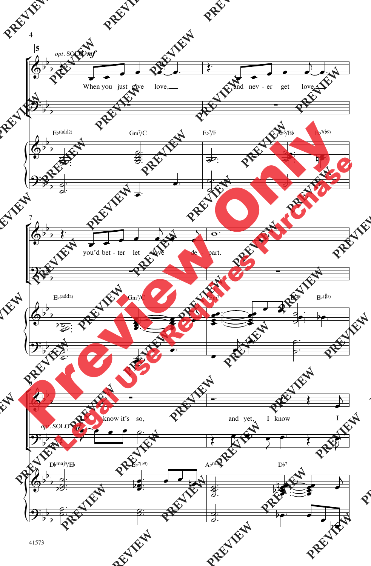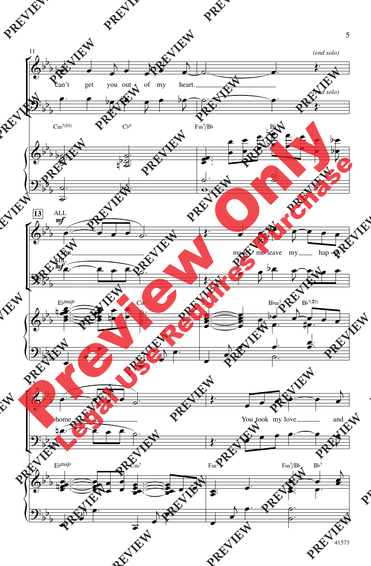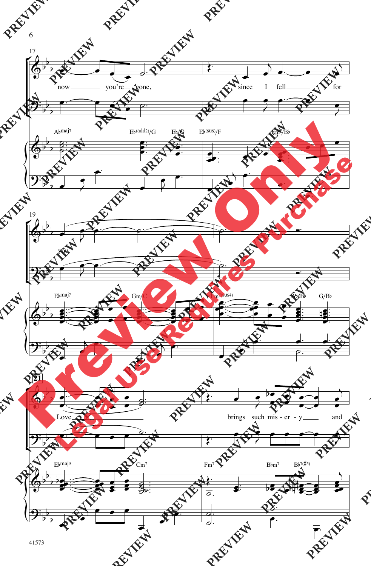

 $\sqrt{6}$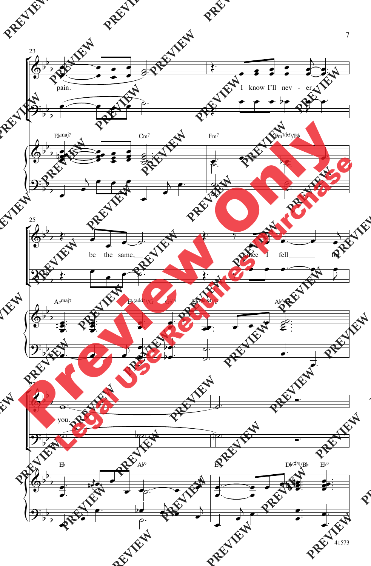

41573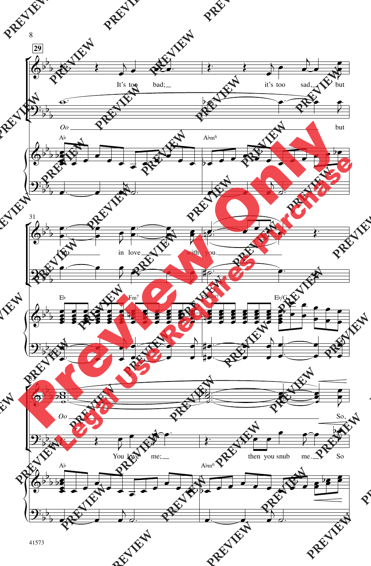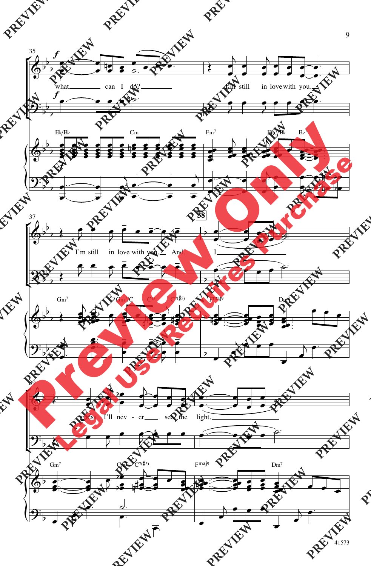

41573